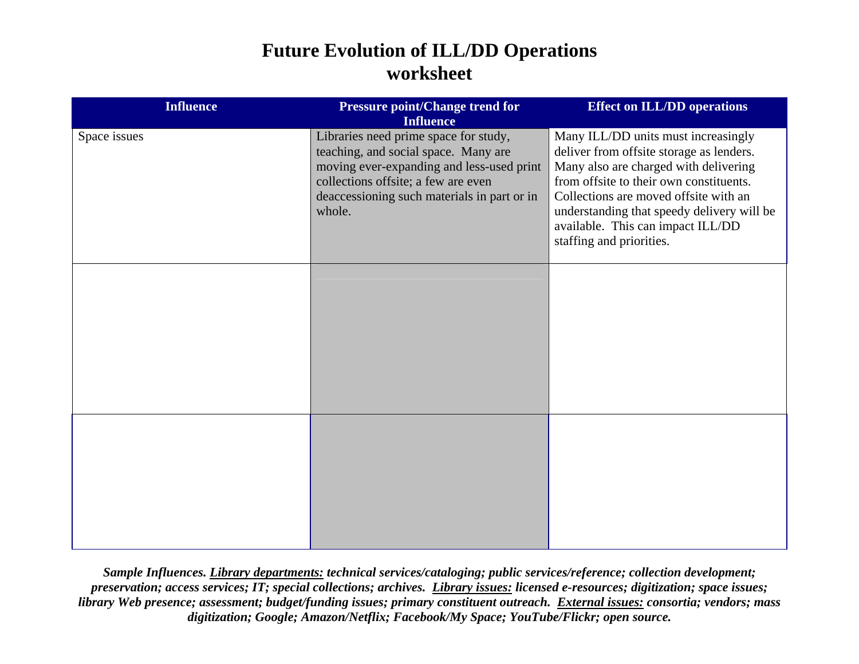## **Future Evolution of ILL/DD Operations worksheet**

| <b>Influence</b> | <b>Pressure point/Change trend for</b><br><b>Influence</b>                                                                                                                                                                 | <b>Effect on ILL/DD operations</b>                                                                                                                                                                                                                                                                                          |
|------------------|----------------------------------------------------------------------------------------------------------------------------------------------------------------------------------------------------------------------------|-----------------------------------------------------------------------------------------------------------------------------------------------------------------------------------------------------------------------------------------------------------------------------------------------------------------------------|
| Space issues     | Libraries need prime space for study,<br>teaching, and social space. Many are<br>moving ever-expanding and less-used print<br>collections offsite; a few are even<br>deaccessioning such materials in part or in<br>whole. | Many ILL/DD units must increasingly<br>deliver from offsite storage as lenders.<br>Many also are charged with delivering<br>from offsite to their own constituents.<br>Collections are moved offsite with an<br>understanding that speedy delivery will be<br>available. This can impact ILL/DD<br>staffing and priorities. |
|                  |                                                                                                                                                                                                                            |                                                                                                                                                                                                                                                                                                                             |
|                  |                                                                                                                                                                                                                            |                                                                                                                                                                                                                                                                                                                             |

*Sample Influences. Library departments: technical services/cataloging; public services/reference; collection development; preservation; access services; IT; special collections; archives. Library issues: licensed e-resources; digitization; space issues; library Web presence; assessment; budget/funding issues; primary constituent outreach. External issues: consortia; vendors; mass digitization; Google; Amazon/Netflix; Facebook/My Space; YouTube/Flickr; open source.*